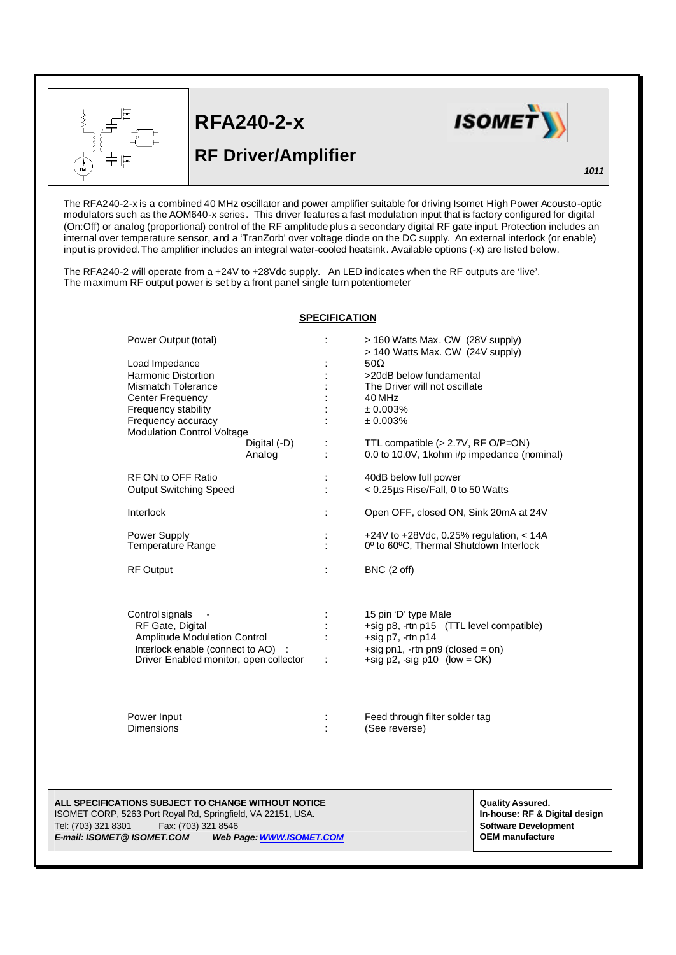

L

## **RFA240-2-x**





## *1011*

The RFA240-2-x is a combined 40 MHz oscillator and power amplifier suitable for driving Isomet High Power Acousto-optic modulators such as the AOM640-x series. This driver features a fast modulation input that is factory configured for digital (On:Off) or analog (proportional) control of the RF amplitude plus a secondary digital RF gate input. Protection includes an internal over temperature sensor, and a 'TranZorb' over voltage diode on the DC supply. An external interlock (or enable) input is provided.The amplifier includes an integral water-cooled heatsink. Available options (-x) are listed below.

The RFA240-2 will operate from a +24V to +28Vdc supply. An LED indicates when the RF outputs are 'live'. The maximum RF output power is set by a front panel single turn potentiometer

## **SPECIFICATION**

| Power Output (total)<br>Load Impedance<br><b>Harmonic Distortion</b><br>Mismatch Tolerance<br><b>Center Frequency</b><br>Frequency stability<br>Frequency accuracy<br><b>Modulation Control Voltage</b><br>Digital (-D)<br>Analog | ÷      | > 160 Watts Max. CW (28V supply)<br>> 140 Watts Max. CW (24V supply)<br>$50\Omega$<br>>20dB below fundamental<br>The Driver will not oscillate<br>40 MHz<br>± 0.003%<br>± 0.003%<br>TTL compatible $(>2.7V, RF O/P=ON)$<br>0.0 to 10.0V, 1 kohm i/p impedance (nominal) |
|-----------------------------------------------------------------------------------------------------------------------------------------------------------------------------------------------------------------------------------|--------|-------------------------------------------------------------------------------------------------------------------------------------------------------------------------------------------------------------------------------------------------------------------------|
| RF ON to OFF Ratio<br><b>Output Switching Speed</b>                                                                                                                                                                               |        | 40dB below full power<br>< 0.25µs Rise/Fall, 0 to 50 Watts                                                                                                                                                                                                              |
| Interlock                                                                                                                                                                                                                         | ÷      | Open OFF, closed ON, Sink 20mA at 24V                                                                                                                                                                                                                                   |
| Power Supply<br><b>Temperature Range</b>                                                                                                                                                                                          | ċ      | +24V to +28Vdc, 0.25% regulation, $<$ 14A<br>0° to 60°C, Thermal Shutdown Interlock                                                                                                                                                                                     |
| <b>RF Output</b>                                                                                                                                                                                                                  | ÷      | BNC (2 off)                                                                                                                                                                                                                                                             |
| Control signals<br>RF Gate, Digital<br><b>Amplitude Modulation Control</b><br>Interlock enable (connect to AO) :<br>Driver Enabled monitor, open collector                                                                        | ÷<br>÷ | 15 pin 'D' type Male<br>+sig p8, -rtn p15 (TTL level compatible)<br>+sig $p7$ , -rtn $p14$<br>$+$ sig pn1, $-$ rtn pn9 (closed = on)<br>+sig $p2$ , -sig $p10$ (low = OK)                                                                                               |
| Power Input<br><b>Dimensions</b>                                                                                                                                                                                                  |        | Feed through filter solder tag<br>(See reverse)                                                                                                                                                                                                                         |

**ALL SPECIFICATIONS SUBJECT TO CHANGE WITHOUT NOTICE All and the state of a state of a state of a state of a state of a state of a state of a state of a state of a state of a state of a state of a state of a state of a s** ISOMET CORP, 5263 Port Royal Rd, Springfield, VA 22151, USA. **In-house: RF & Digital design** Tel: (703) 321 8301 Fax: (703) 321 8546 **Software Development** *E-mail: ISOMET@ ISOMET.COM Web Page: WWW.ISOMET.COM* **OEM manufacture**